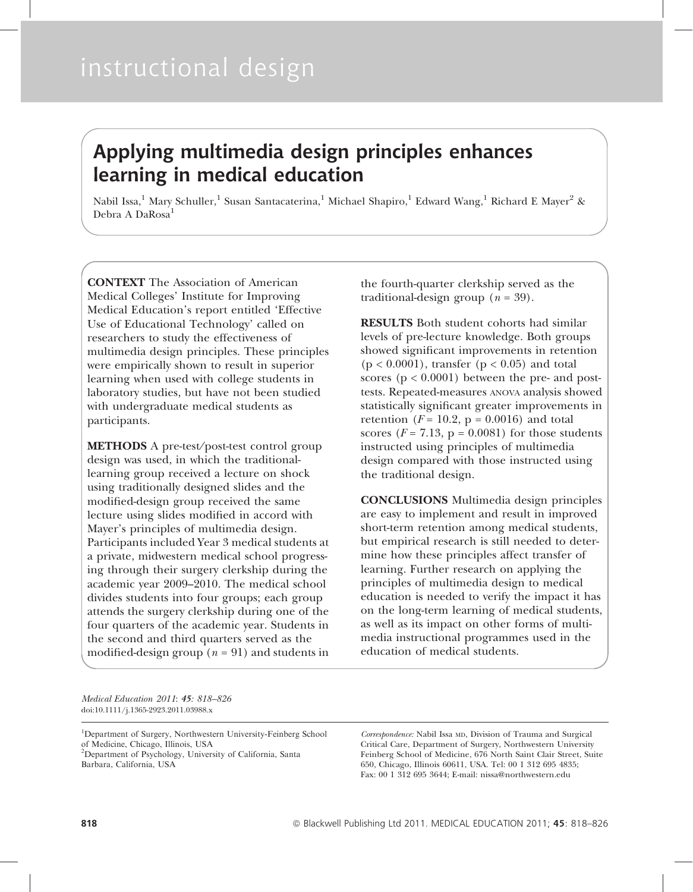# Applying multimedia design principles enhances learning in medical education

Nabil Issa,<sup>1</sup> Mary Schuller,<sup>1</sup> Susan Santacaterina,<sup>1</sup> Michael Shapiro,<sup>1</sup> Edward Wang,<sup>1</sup> Richard E Mayer<sup>2</sup> & Debra A DaRosa<sup>1</sup>

CONTEXT The Association of American Medical Colleges' Institute for Improving Medical Education's report entitled 'Effective Use of Educational Technology' called on researchers to study the effectiveness of multimedia design principles. These principles were empirically shown to result in superior learning when used with college students in laboratory studies, but have not been studied with undergraduate medical students as participants.

METHODS A pre-test⁄post-test control group design was used, in which the traditionallearning group received a lecture on shock using traditionally designed slides and the modified-design group received the same lecture using slides modified in accord with Mayer's principles of multimedia design. Participants included Year 3 medical students at a private, midwestern medical school progressing through their surgery clerkship during the academic year 2009–2010. The medical school divides students into four groups; each group attends the surgery clerkship during one of the four quarters of the academic year. Students in the second and third quarters served as the modified-design group ( $n = 91$ ) and students in

the fourth-quarter clerkship served as the traditional-design group  $(n = 39)$ .

RESULTS Both student cohorts had similar levels of pre-lecture knowledge. Both groups showed significant improvements in retention  $(p < 0.0001)$ , transfer  $(p < 0.05)$  and total scores (p < 0.0001) between the pre- and posttests. Repeated-measures ANOVA analysis showed statistically significant greater improvements in retention ( $F = 10.2$ ,  $p = 0.0016$ ) and total scores ( $F = 7.13$ ,  $p = 0.0081$ ) for those students instructed using principles of multimedia design compared with those instructed using the traditional design.

CONCLUSIONS Multimedia design principles are easy to implement and result in improved short-term retention among medical students, but empirical research is still needed to determine how these principles affect transfer of learning. Further research on applying the principles of multimedia design to medical education is needed to verify the impact it has on the long-term learning of medical students, as well as its impact on other forms of multimedia instructional programmes used in the education of medical students.

Medical Education 2011: 45: 818–826 doi:10.1111/j.1365-2923.2011.03988.x

- <sup>1</sup>Department of Surgery, Northwestern University-Feinberg School of Medicine, Chicago, Illinois, USA
- 2 Department of Psychology, University of California, Santa Barbara, California, USA

Correspondence: Nabil Issa MD, Division of Trauma and Surgical Critical Care, Department of Surgery, Northwestern University Feinberg School of Medicine, 676 North Saint Clair Street, Suite 650, Chicago, Illinois 60611, USA. Tel: 00 1 312 695 4835; Fax: 00 1 312 695 3644; E-mail: nissa@northwestern.edu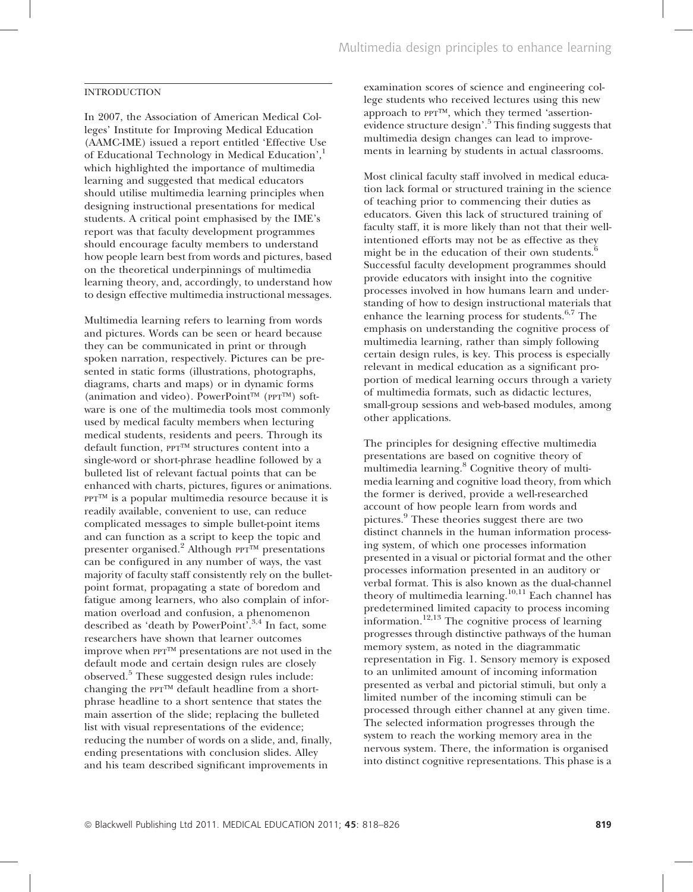### INTRODUCTION

In 2007, the Association of American Medical Colleges' Institute for Improving Medical Education (AAMC-IME) issued a report entitled 'Effective Use of Educational Technology in Medical Education',<sup>1</sup> which highlighted the importance of multimedia learning and suggested that medical educators should utilise multimedia learning principles when designing instructional presentations for medical students. A critical point emphasised by the IME's report was that faculty development programmes should encourage faculty members to understand how people learn best from words and pictures, based on the theoretical underpinnings of multimedia learning theory, and, accordingly, to understand how to design effective multimedia instructional messages.

Multimedia learning refers to learning from words and pictures. Words can be seen or heard because they can be communicated in print or through spoken narration, respectively. Pictures can be presented in static forms (illustrations, photographs, diagrams, charts and maps) or in dynamic forms (animation and video). PowerPoint<sup>TM</sup> (PPT<sup>TM</sup>) software is one of the multimedia tools most commonly used by medical faculty members when lecturing medical students, residents and peers. Through its default function, PPT™ structures content into a single-word or short-phrase headline followed by a bulleted list of relevant factual points that can be enhanced with charts, pictures, figures or animations.  $\text{PPT}^{\text{TM}}$  is a popular multimedia resource because it is readily available, convenient to use, can reduce complicated messages to simple bullet-point items and can function as a script to keep the topic and presenter organised.<sup>2</sup> Although PPT™ presentations can be configured in any number of ways, the vast majority of faculty staff consistently rely on the bulletpoint format, propagating a state of boredom and fatigue among learners, who also complain of information overload and confusion, a phenomenon described as 'death by PowerPoint'.<sup>3,4</sup> In fact, some researchers have shown that learner outcomes improve when  $\text{PPT}^{\text{TM}}$  presentations are not used in the default mode and certain design rules are closely observed.<sup>5</sup> These suggested design rules include: changing the PPT™ default headline from a shortphrase headline to a short sentence that states the main assertion of the slide; replacing the bulleted list with visual representations of the evidence; reducing the number of words on a slide, and, finally, ending presentations with conclusion slides. Alley and his team described significant improvements in

examination scores of science and engineering college students who received lectures using this new approach to PPT™, which they termed 'assertionevidence structure design'.<sup>5</sup> This finding suggests that multimedia design changes can lead to improvements in learning by students in actual classrooms.

Most clinical faculty staff involved in medical education lack formal or structured training in the science of teaching prior to commencing their duties as educators. Given this lack of structured training of faculty staff, it is more likely than not that their wellintentioned efforts may not be as effective as they might be in the education of their own students.<sup>6</sup> Successful faculty development programmes should provide educators with insight into the cognitive processes involved in how humans learn and understanding of how to design instructional materials that enhance the learning process for students.<sup>6,7</sup> The emphasis on understanding the cognitive process of multimedia learning, rather than simply following certain design rules, is key. This process is especially relevant in medical education as a significant proportion of medical learning occurs through a variety of multimedia formats, such as didactic lectures, small-group sessions and web-based modules, among other applications.

The principles for designing effective multimedia presentations are based on cognitive theory of multimedia learning.<sup>8</sup> Cognitive theory of multimedia learning and cognitive load theory, from which the former is derived, provide a well-researched account of how people learn from words and pictures.<sup>9</sup> These theories suggest there are two distinct channels in the human information processing system, of which one processes information presented in a visual or pictorial format and the other processes information presented in an auditory or verbal format. This is also known as the dual-channel theory of multimedia learning.<sup>10,11</sup> Each channel has predetermined limited capacity to process incoming information.<sup>12,13</sup> The cognitive process of learning progresses through distinctive pathways of the human memory system, as noted in the diagrammatic representation in Fig. 1. Sensory memory is exposed to an unlimited amount of incoming information presented as verbal and pictorial stimuli, but only a limited number of the incoming stimuli can be processed through either channel at any given time. The selected information progresses through the system to reach the working memory area in the nervous system. There, the information is organised into distinct cognitive representations. This phase is a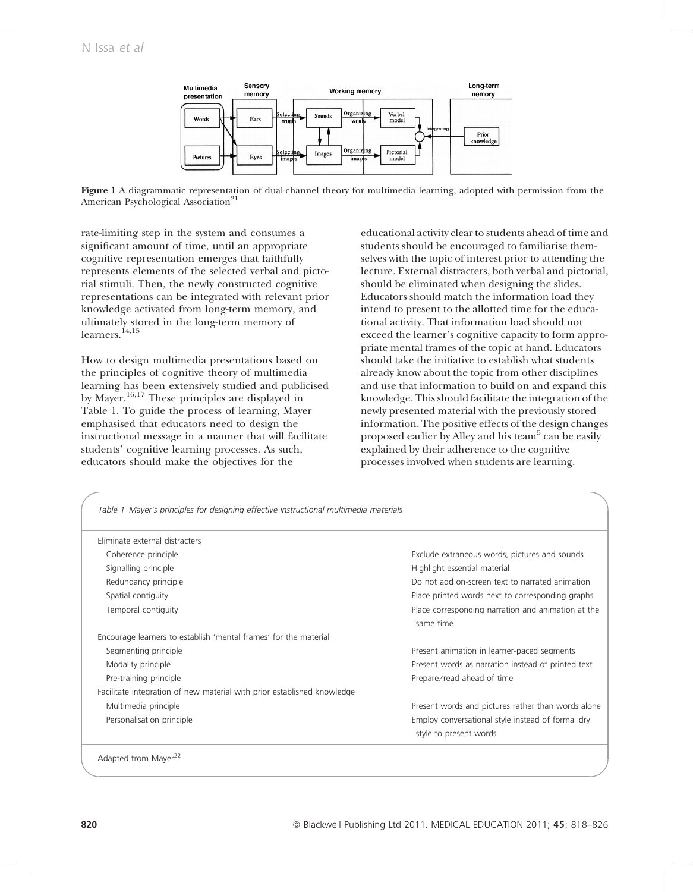

Figure 1 A diagrammatic representation of dual-channel theory for multimedia learning, adopted with permission from the American Psychological Association<sup>21</sup>

rate-limiting step in the system and consumes a significant amount of time, until an appropriate cognitive representation emerges that faithfully represents elements of the selected verbal and pictorial stimuli. Then, the newly constructed cognitive representations can be integrated with relevant prior knowledge activated from long-term memory, and ultimately stored in the long-term memory of  $learners.<sup>14,15</sup>$ 

How to design multimedia presentations based on the principles of cognitive theory of multimedia learning has been extensively studied and publicised by Mayer.16,17 These principles are displayed in Table 1. To guide the process of learning, Mayer emphasised that educators need to design the instructional message in a manner that will facilitate students' cognitive learning processes. As such, educators should make the objectives for the

educational activity clear to students ahead of time and students should be encouraged to familiarise themselves with the topic of interest prior to attending the lecture. External distracters, both verbal and pictorial, should be eliminated when designing the slides. Educators should match the information load they intend to present to the allotted time for the educational activity. That information load should not exceed the learner's cognitive capacity to form appropriate mental frames of the topic at hand. Educators should take the initiative to establish what students already know about the topic from other disciplines and use that information to build on and expand this knowledge. This should facilitate the integration of the newly presented material with the previously stored information. The positive effects of the design changes proposed earlier by Alley and his team<sup>5</sup> can be easily explained by their adherence to the cognitive processes involved when students are learning.

| Table 1 Mayer's principles for designing effective instructional multimedia materials |                                                                             |
|---------------------------------------------------------------------------------------|-----------------------------------------------------------------------------|
| Eliminate external distracters                                                        |                                                                             |
| Coherence principle                                                                   | Exclude extraneous words, pictures and sounds                               |
| Signalling principle                                                                  | Highlight essential material                                                |
| Redundancy principle                                                                  | Do not add on-screen text to narrated animation                             |
| Spatial contiguity                                                                    | Place printed words next to corresponding graphs                            |
| Temporal contiguity                                                                   | Place corresponding narration and animation at the<br>same time             |
| Encourage learners to establish 'mental frames' for the material                      |                                                                             |
| Segmenting principle                                                                  | Present animation in learner-paced segments                                 |
| Modality principle                                                                    | Present words as narration instead of printed text                          |
| Pre-training principle                                                                | Prepare/read ahead of time                                                  |
| Facilitate integration of new material with prior established knowledge               |                                                                             |
| Multimedia principle                                                                  | Present words and pictures rather than words alone                          |
| Personalisation principle                                                             | Employ conversational style instead of formal dry<br>style to present words |
| Adapted from Mayer <sup>22</sup>                                                      |                                                                             |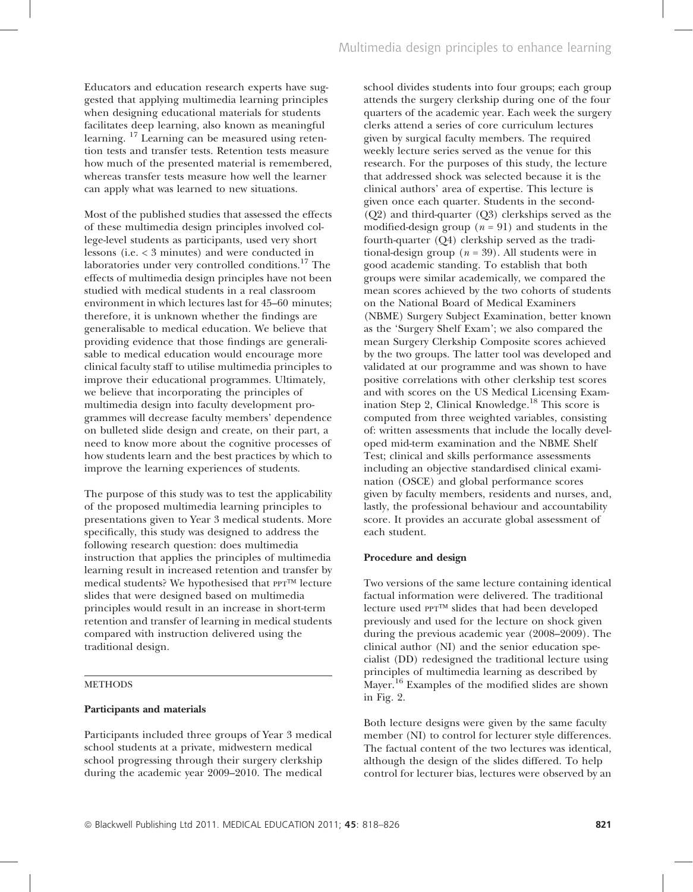Educators and education research experts have suggested that applying multimedia learning principles when designing educational materials for students facilitates deep learning, also known as meaningful learning. <sup>17</sup> Learning can be measured using retention tests and transfer tests. Retention tests measure how much of the presented material is remembered, whereas transfer tests measure how well the learner can apply what was learned to new situations.

Most of the published studies that assessed the effects of these multimedia design principles involved college-level students as participants, used very short lessons (i.e. < 3 minutes) and were conducted in laboratories under very controlled conditions.<sup>17</sup> The effects of multimedia design principles have not been studied with medical students in a real classroom environment in which lectures last for 45–60 minutes; therefore, it is unknown whether the findings are generalisable to medical education. We believe that providing evidence that those findings are generalisable to medical education would encourage more clinical faculty staff to utilise multimedia principles to improve their educational programmes. Ultimately, we believe that incorporating the principles of multimedia design into faculty development programmes will decrease faculty members' dependence on bulleted slide design and create, on their part, a need to know more about the cognitive processes of how students learn and the best practices by which to improve the learning experiences of students.

The purpose of this study was to test the applicability of the proposed multimedia learning principles to presentations given to Year 3 medical students. More specifically, this study was designed to address the following research question: does multimedia instruction that applies the principles of multimedia learning result in increased retention and transfer by medical students? We hypothesised that  $PPT^M$  lecture slides that were designed based on multimedia principles would result in an increase in short-term retention and transfer of learning in medical students compared with instruction delivered using the traditional design.

# METHODS

# Participants and materials

Participants included three groups of Year 3 medical school students at a private, midwestern medical school progressing through their surgery clerkship during the academic year 2009–2010. The medical

school divides students into four groups; each group attends the surgery clerkship during one of the four quarters of the academic year. Each week the surgery clerks attend a series of core curriculum lectures given by surgical faculty members. The required weekly lecture series served as the venue for this research. For the purposes of this study, the lecture that addressed shock was selected because it is the clinical authors' area of expertise. This lecture is given once each quarter. Students in the second- (Q2) and third-quarter (Q3) clerkships served as the modified-design group  $(n = 91)$  and students in the fourth-quarter (Q4) clerkship served as the traditional-design group ( $n = 39$ ). All students were in good academic standing. To establish that both groups were similar academically, we compared the mean scores achieved by the two cohorts of students on the National Board of Medical Examiners (NBME) Surgery Subject Examination, better known as the 'Surgery Shelf Exam'; we also compared the mean Surgery Clerkship Composite scores achieved by the two groups. The latter tool was developed and validated at our programme and was shown to have positive correlations with other clerkship test scores and with scores on the US Medical Licensing Examination Step 2, Clinical Knowledge. $^{18}$  This score is computed from three weighted variables, consisting of: written assessments that include the locally developed mid-term examination and the NBME Shelf Test; clinical and skills performance assessments including an objective standardised clinical examination (OSCE) and global performance scores given by faculty members, residents and nurses, and, lastly, the professional behaviour and accountability score. It provides an accurate global assessment of each student.

# Procedure and design

Two versions of the same lecture containing identical factual information were delivered. The traditional lecture used PPT™ slides that had been developed previously and used for the lecture on shock given during the previous academic year (2008–2009). The clinical author (NI) and the senior education specialist (DD) redesigned the traditional lecture using principles of multimedia learning as described by Mayer.<sup>16</sup> Examples of the modified slides are shown in Fig. 2.

Both lecture designs were given by the same faculty member (NI) to control for lecturer style differences. The factual content of the two lectures was identical, although the design of the slides differed. To help control for lecturer bias, lectures were observed by an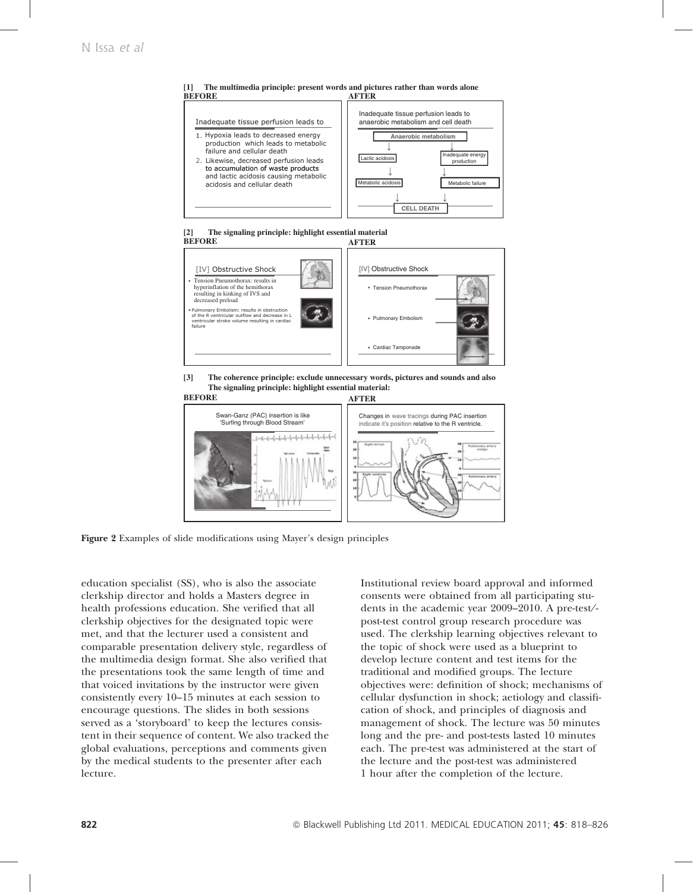

# **[1] The multimedia principle: present words and pictures rather than words alone**

**[2] The signaling principle: highlight essential material BEFORE AFTER**



**[3] The coherence principle: exclude unnecessary words, pictures and sounds and also The signaling principle: highlight essential material:**



Figure 2 Examples of slide modifications using Mayer's design principles

education specialist (SS), who is also the associate clerkship director and holds a Masters degree in health professions education. She verified that all clerkship objectives for the designated topic were met, and that the lecturer used a consistent and comparable presentation delivery style, regardless of the multimedia design format. She also verified that the presentations took the same length of time and that voiced invitations by the instructor were given consistently every 10–15 minutes at each session to encourage questions. The slides in both sessions served as a 'storyboard' to keep the lectures consistent in their sequence of content. We also tracked the global evaluations, perceptions and comments given by the medical students to the presenter after each lecture.

Institutional review board approval and informed consents were obtained from all participating students in the academic year 2009–2010. A pre-test⁄ post-test control group research procedure was used. The clerkship learning objectives relevant to the topic of shock were used as a blueprint to develop lecture content and test items for the traditional and modified groups. The lecture objectives were: definition of shock; mechanisms of cellular dysfunction in shock; aetiology and classification of shock, and principles of diagnosis and management of shock. The lecture was 50 minutes long and the pre- and post-tests lasted 10 minutes each. The pre-test was administered at the start of the lecture and the post-test was administered 1 hour after the completion of the lecture.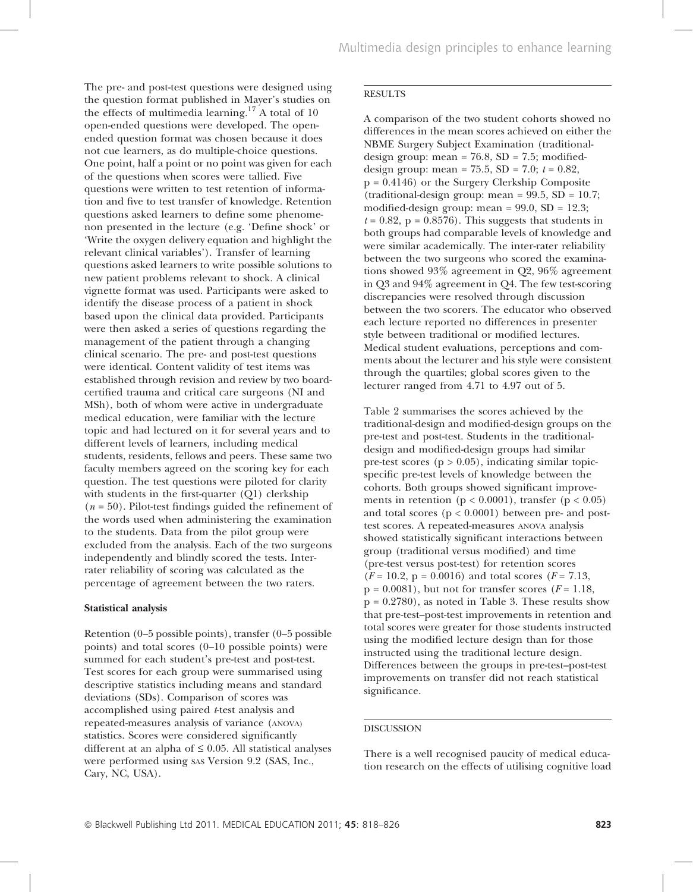The pre- and post-test questions were designed using the question format published in Mayer's studies on the effects of multimedia learning.<sup>17</sup> A total of 10 open-ended questions were developed. The openended question format was chosen because it does not cue learners, as do multiple-choice questions. One point, half a point or no point was given for each of the questions when scores were tallied. Five questions were written to test retention of information and five to test transfer of knowledge. Retention questions asked learners to define some phenomenon presented in the lecture (e.g. 'Define shock' or 'Write the oxygen delivery equation and highlight the relevant clinical variables'). Transfer of learning questions asked learners to write possible solutions to new patient problems relevant to shock. A clinical vignette format was used. Participants were asked to identify the disease process of a patient in shock based upon the clinical data provided. Participants were then asked a series of questions regarding the management of the patient through a changing clinical scenario. The pre- and post-test questions were identical. Content validity of test items was established through revision and review by two boardcertified trauma and critical care surgeons (NI and MSh), both of whom were active in undergraduate medical education, were familiar with the lecture topic and had lectured on it for several years and to different levels of learners, including medical students, residents, fellows and peers. These same two faculty members agreed on the scoring key for each question. The test questions were piloted for clarity with students in the first-quarter (Q1) clerkship  $(n = 50)$ . Pilot-test findings guided the refinement of the words used when administering the examination to the students. Data from the pilot group were excluded from the analysis. Each of the two surgeons independently and blindly scored the tests. Interrater reliability of scoring was calculated as the percentage of agreement between the two raters.

# Statistical analysis

Retention (0–5 possible points), transfer (0–5 possible points) and total scores (0–10 possible points) were summed for each student's pre-test and post-test. Test scores for each group were summarised using descriptive statistics including means and standard deviations (SDs). Comparison of scores was accomplished using paired t-test analysis and repeated-measures analysis of variance (ANOVA) statistics. Scores were considered significantly different at an alpha of  $\leq 0.05$ . All statistical analyses were performed using SAS Version 9.2 (SAS, Inc., Cary, NC, USA).

### **RESULTS**

A comparison of the two student cohorts showed no differences in the mean scores achieved on either the NBME Surgery Subject Examination (traditionaldesign group: mean =  $76.8$ , SD =  $7.5$ ; modifieddesign group: mean = 75.5,  $SD = 7.0$ ;  $t = 0.82$ , p = 0.4146) or the Surgery Clerkship Composite  $( traditional-design group: mean = 99.5, SD = 10.7;$ modified-design group: mean =  $99.0$ , SD =  $12.3$ ;  $t = 0.82$ ,  $p = 0.8576$ . This suggests that students in both groups had comparable levels of knowledge and were similar academically. The inter-rater reliability between the two surgeons who scored the examinations showed 93% agreement in Q2, 96% agreement in Q3 and 94% agreement in Q4. The few test-scoring discrepancies were resolved through discussion between the two scorers. The educator who observed each lecture reported no differences in presenter style between traditional or modified lectures. Medical student evaluations, perceptions and comments about the lecturer and his style were consistent through the quartiles; global scores given to the lecturer ranged from 4.71 to 4.97 out of 5.

Table 2 summarises the scores achieved by the traditional-design and modified-design groups on the pre-test and post-test. Students in the traditionaldesign and modified-design groups had similar pre-test scores ( $p > 0.05$ ), indicating similar topicspecific pre-test levels of knowledge between the cohorts. Both groups showed significant improvements in retention ( $p < 0.0001$ ), transfer ( $p < 0.05$ ) and total scores  $(p < 0.0001)$  between pre- and posttest scores. A repeated-measures ANOVA analysis showed statistically significant interactions between group (traditional versus modified) and time (pre-test versus post-test) for retention scores  $(F = 10.2, p = 0.0016)$  and total scores  $(F = 7.13,$  $p = 0.0081$ , but not for transfer scores ( $F = 1.18$ ,  $p = 0.2780$ , as noted in Table 3. These results show that pre-test–post-test improvements in retention and total scores were greater for those students instructed using the modified lecture design than for those instructed using the traditional lecture design. Differences between the groups in pre-test–post-test improvements on transfer did not reach statistical significance.

### DISCUSSION

There is a well recognised paucity of medical education research on the effects of utilising cognitive load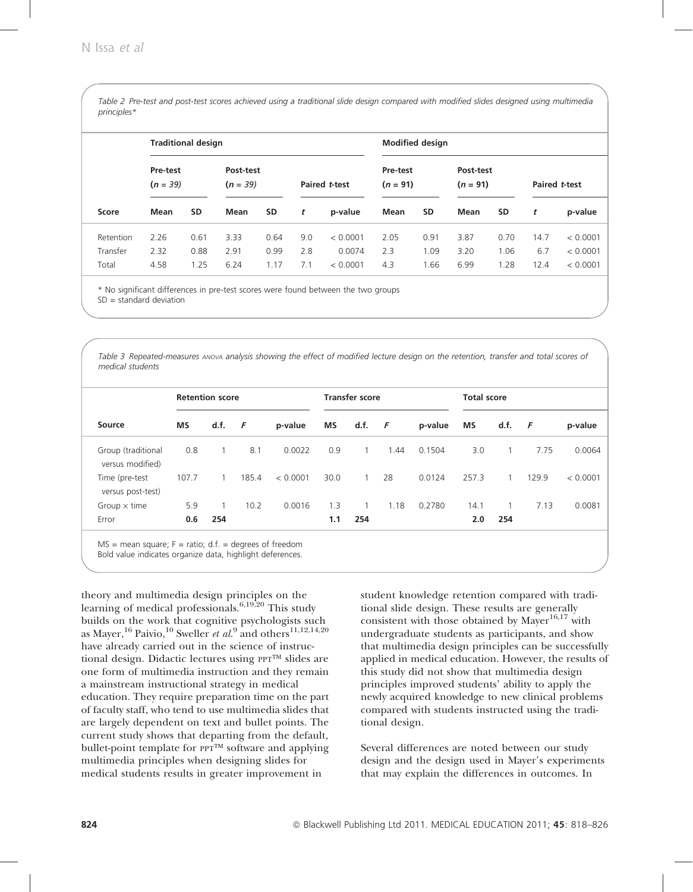Table 2 Pre-test and post-test scores achieved using a traditional slide design compared with modified slides designed using multimedia principles\*

|  |           |                        | <b>Traditional design</b> |                         |           |               |          | <b>Modified design</b> |           |                         |           |               |          |  |
|--|-----------|------------------------|---------------------------|-------------------------|-----------|---------------|----------|------------------------|-----------|-------------------------|-----------|---------------|----------|--|
|  |           | Pre-test<br>$(n = 39)$ |                           | Post-test<br>$(n = 39)$ |           | Paired t-test |          | Pre-test<br>$(n = 91)$ |           | Post-test<br>$(n = 91)$ |           | Paired t-test |          |  |
|  | Score     | <b>Mean</b>            | <b>SD</b>                 | Mean                    | <b>SD</b> | t             | p-value  | <b>Mean</b>            | <b>SD</b> | <b>Mean</b>             | <b>SD</b> | t             | p-value  |  |
|  | Retention | 2.26                   | 0.61                      | 3.33                    | 0.64      | 9.0           | < 0.0001 | 2.05                   | 0.91      | 3.87                    | 0.70      | 14.7          | < 0.0001 |  |
|  | Transfer  | 2.32                   | 0.88                      | 2.91                    | 0.99      | 2.8           | 0.0074   | 2.3                    | 1.09      | 3.20                    | 1.06      | 6.7           | < 0.0001 |  |
|  | Total     | 4.58                   | 1.25                      | 6.24                    | .17       | 7.1           | < 0.0001 | 4.3                    | 1.66      | 6.99                    | 1.28      | 12.4          | < 0.0001 |  |
|  |           |                        |                           |                         |           |               |          |                        |           |                         |           |               |          |  |

\* No significant differences in pre-test scores were found between the two groups SD = standard deviation

Table 3 Repeated-measures ANOVA analysis showing the effect of modified lecture design on the retention, transfer and total scores of medical students

|                                        | <b>Retention score</b> |                 |       | <b>Transfer score</b> |           |                 |      | <b>Total score</b> |           |      |            |          |
|----------------------------------------|------------------------|-----------------|-------|-----------------------|-----------|-----------------|------|--------------------|-----------|------|------------|----------|
| Source                                 | <b>MS</b>              | d.f. $\sqrt{F}$ |       | p-value               | <b>MS</b> | d.f. $\sqrt{r}$ |      | p-value            | <b>MS</b> | d.f. | $\sqrt{F}$ | p-value  |
| Group (traditional<br>versus modified) | 0.8                    |                 | 8.1   | 0.0022                | 0.9       | 1               | 1.44 | 0.1504             | 3.0       |      | 7.75       | 0.0064   |
| Time (pre-test<br>versus post-test)    | 107.7                  |                 | 185.4 | < 0.0001              | 30.0      |                 | 28   | 0.0124             | 257.3     |      | 129.9      | < 0.0001 |
| Group $\times$ time                    | 5.9                    |                 | 10.2  | 0.0016                | 1.3       |                 | 1.18 | 0.2780             | 14.1      |      | 7.13       | 0.0081   |
| Error                                  | 0.6                    | 254             |       |                       | 1.1       | 254             |      |                    | 2.0       | 254  |            |          |

 $MS =$  mean square;  $F =$  ratio; d.f.  $=$  degrees of freedom

Bold value indicates organize data, highlight deferences.

theory and multimedia design principles on the learning of medical professionals.<sup>6,19,20</sup> This study builds on the work that cognitive psychologists such as Mayer,<sup>16</sup> Paivio,<sup>10</sup> Sweller *et al.*<sup>9</sup> and others<sup>11,12,14,20</sup> have already carried out in the science of instructional design. Didactic lectures using PPT<sup>TM</sup> slides are one form of multimedia instruction and they remain a mainstream instructional strategy in medical education. They require preparation time on the part of faculty staff, who tend to use multimedia slides that are largely dependent on text and bullet points. The current study shows that departing from the default, bullet-point template for PPT™ software and applying multimedia principles when designing slides for medical students results in greater improvement in

student knowledge retention compared with traditional slide design. These results are generally consistent with those obtained by  $Mayer^{16,17}$  with undergraduate students as participants, and show that multimedia design principles can be successfully applied in medical education. However, the results of this study did not show that multimedia design principles improved students' ability to apply the newly acquired knowledge to new clinical problems compared with students instructed using the traditional design.

Several differences are noted between our study design and the design used in Mayer's experiments that may explain the differences in outcomes. In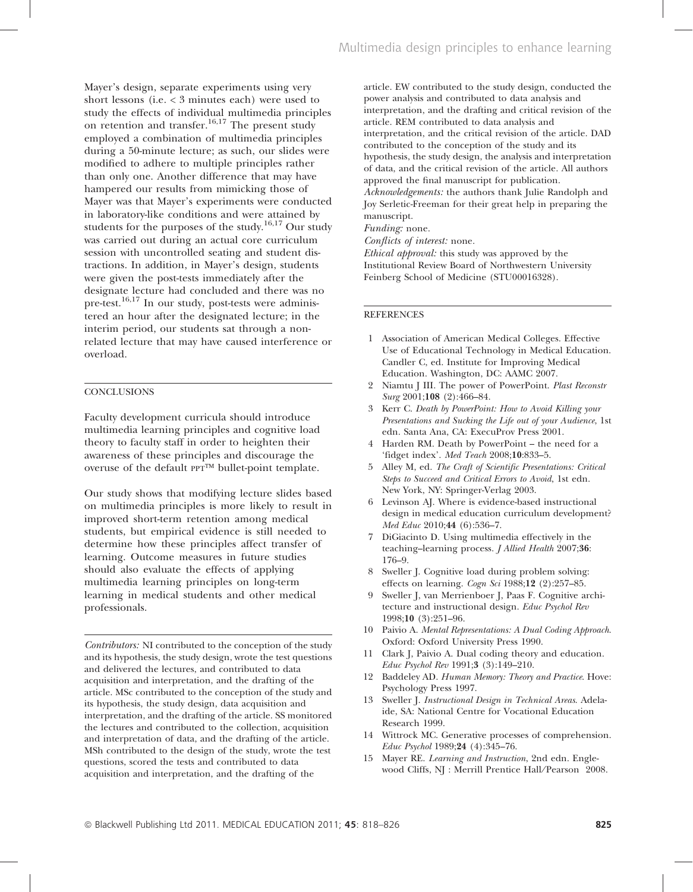Mayer's design, separate experiments using very short lessons (i.e. < 3 minutes each) were used to study the effects of individual multimedia principles on retention and transfer.<sup>16,17</sup> The present study employed a combination of multimedia principles during a 50-minute lecture; as such, our slides were modified to adhere to multiple principles rather than only one. Another difference that may have hampered our results from mimicking those of Mayer was that Mayer's experiments were conducted in laboratory-like conditions and were attained by students for the purposes of the study.<sup>16,17</sup> Our study was carried out during an actual core curriculum session with uncontrolled seating and student distractions. In addition, in Mayer's design, students were given the post-tests immediately after the designate lecture had concluded and there was no pre-test.<sup>16,17</sup> In our study, post-tests were administered an hour after the designated lecture; in the interim period, our students sat through a nonrelated lecture that may have caused interference or overload.

#### **CONCLUSIONS**

Faculty development curricula should introduce multimedia learning principles and cognitive load theory to faculty staff in order to heighten their awareness of these principles and discourage the overuse of the default PPT<sup>TM</sup> bullet-point template.

Our study shows that modifying lecture slides based on multimedia principles is more likely to result in improved short-term retention among medical students, but empirical evidence is still needed to determine how these principles affect transfer of learning. Outcome measures in future studies should also evaluate the effects of applying multimedia learning principles on long-term learning in medical students and other medical professionals.

Contributors: NI contributed to the conception of the study and its hypothesis, the study design, wrote the test questions and delivered the lectures, and contributed to data acquisition and interpretation, and the drafting of the article. MSc contributed to the conception of the study and its hypothesis, the study design, data acquisition and interpretation, and the drafting of the article. SS monitored the lectures and contributed to the collection, acquisition and interpretation of data, and the drafting of the article. MSh contributed to the design of the study, wrote the test questions, scored the tests and contributed to data acquisition and interpretation, and the drafting of the

article. EW contributed to the study design, conducted the power analysis and contributed to data analysis and interpretation, and the drafting and critical revision of the article. REM contributed to data analysis and interpretation, and the critical revision of the article. DAD contributed to the conception of the study and its hypothesis, the study design, the analysis and interpretation of data, and the critical revision of the article. All authors approved the final manuscript for publication. Acknowledgements: the authors thank Julie Randolph and Joy Serletic-Freeman for their great help in preparing the

manuscript.

Funding: none.

Conflicts of interest: none.

Ethical approval: this study was approved by the Institutional Review Board of Northwestern University Feinberg School of Medicine (STU00016328).

#### **REFERENCES**

- 1 Association of American Medical Colleges. Effective Use of Educational Technology in Medical Education. Candler C, ed. Institute for Improving Medical Education. Washington, DC: AAMC 2007.
- 2 Niamtu J III. The power of PowerPoint. Plast Reconstr Surg 2001;108 (2):466-84.
- 3 Kerr C. Death by PowerPoint: How to Avoid Killing your Presentations and Sucking the Life out of your Audience, 1st edn. Santa Ana, CA: ExecuProv Press 2001.
- 4 Harden RM. Death by PowerPoint the need for a 'fidget index'. Med Teach 2008;10:833–5.
- 5 Alley M, ed. The Craft of Scientific Presentations: Critical Steps to Succeed and Critical Errors to Avoid, 1st edn. New York, NY: Springer-Verlag 2003.
- 6 Levinson AJ. Where is evidence-based instructional design in medical education curriculum development? Med Educ 2010;44 (6):536–7.
- 7 DiGiacinto D. Using multimedia effectively in the teaching–learning process. J Allied Health 2007;36: 176–9.
- 8 Sweller J. Cognitive load during problem solving: effects on learning. Cogn Sci 1988;12 (2):257–85.
- 9 Sweller J, van Merrienboer J, Paas F. Cognitive architecture and instructional design. Educ Psychol Rev 1998;10 (3):251–96.
- 10 Paivio A. Mental Representations: A Dual Coding Approach. Oxford: Oxford University Press 1990.
- 11 Clark J, Paivio A. Dual coding theory and education. Educ Psychol Rev 1991;3 (3):149–210.
- 12 Baddeley AD. Human Memory: Theory and Practice. Hove: Psychology Press 1997.
- 13 Sweller J. Instructional Design in Technical Areas. Adelaide, SA: National Centre for Vocational Education Research 1999.
- 14 Wittrock MC. Generative processes of comprehension. Educ Psychol 1989;24 (4):345–76.
- 15 Mayer RE. Learning and Instruction, 2nd edn. Englewood Cliffs, NJ : Merrill Prentice Hall/Pearson 2008.